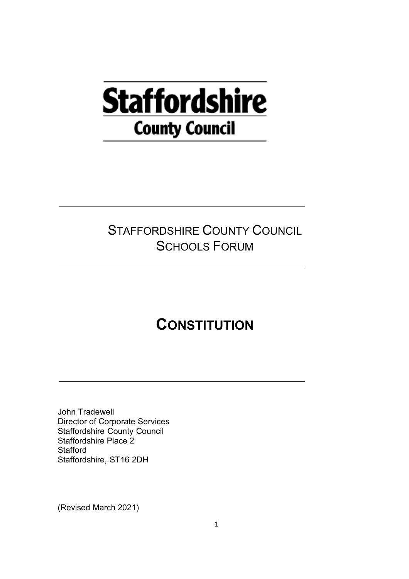

# STAFFORDSHIRE COUNTY COUNCIL SCHOOLS FORUM

# **CONSTITUTION**

John Tradewell Director of Corporate Services Staffordshire County Council Staffordshire Place 2 **Stafford** Staffordshire, ST16 2DH

(Revised March 2021)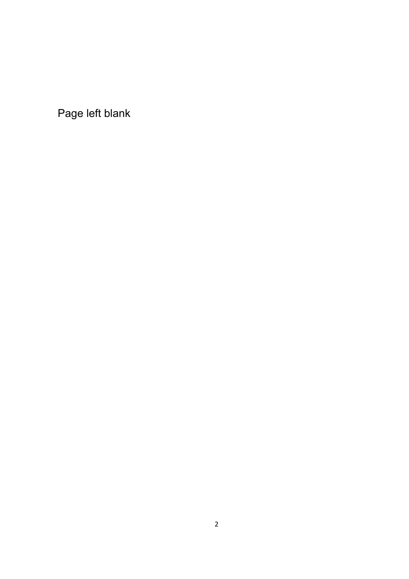Page left blank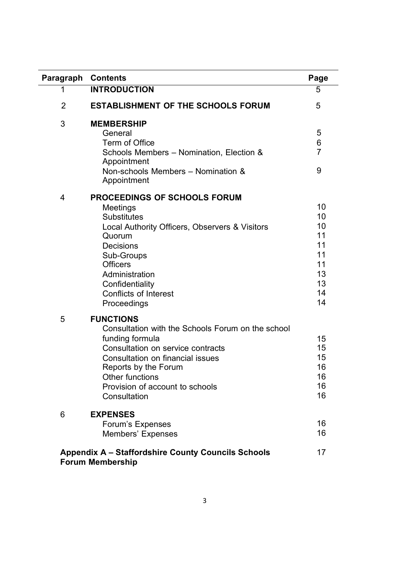| Paragraph      | <b>Contents</b>                                                           | Page                    |  |  |  |
|----------------|---------------------------------------------------------------------------|-------------------------|--|--|--|
| 1              | <b>INTRODUCTION</b>                                                       |                         |  |  |  |
| $\overline{2}$ | <b>ESTABLISHMENT OF THE SCHOOLS FORUM</b>                                 |                         |  |  |  |
| 3              | <b>MEMBERSHIP</b><br>General                                              | 5                       |  |  |  |
|                | Term of Office<br>Schools Members - Nomination, Election &<br>Appointment | $\,6$<br>$\overline{7}$ |  |  |  |
|                | Non-schools Members - Nomination &<br>Appointment                         | 9                       |  |  |  |
| 4              | <b>PROCEEDINGS OF SCHOOLS FORUM</b>                                       |                         |  |  |  |
|                | Meetings                                                                  | 10                      |  |  |  |
|                | <b>Substitutes</b>                                                        | 10                      |  |  |  |
|                | Local Authority Officers, Observers & Visitors                            | 10                      |  |  |  |
|                | Quorum                                                                    | 11                      |  |  |  |
|                | Decisions                                                                 | 11                      |  |  |  |
|                | Sub-Groups                                                                | 11<br>11                |  |  |  |
|                | <b>Officers</b><br>Administration                                         | 13                      |  |  |  |
|                | Confidentiality                                                           | 13                      |  |  |  |
|                | <b>Conflicts of Interest</b>                                              | 14                      |  |  |  |
|                | Proceedings                                                               | 14                      |  |  |  |
| 5              | <b>FUNCTIONS</b>                                                          |                         |  |  |  |
|                | Consultation with the Schools Forum on the school                         |                         |  |  |  |
|                | funding formula                                                           | 15                      |  |  |  |
|                | Consultation on service contracts                                         | 15                      |  |  |  |
|                | <b>Consultation on financial issues</b>                                   | 15<br>16                |  |  |  |
|                | Reports by the Forum<br><b>Other functions</b>                            | 16                      |  |  |  |
|                | Provision of account to schools                                           | 16                      |  |  |  |
|                | Consultation                                                              | 16                      |  |  |  |
| 6              | <b>EXPENSES</b>                                                           |                         |  |  |  |
|                | <b>Forum's Expenses</b>                                                   | 16                      |  |  |  |
|                | Members' Expenses                                                         | 16                      |  |  |  |
|                | <b>Appendix A - Staffordshire County Councils Schools</b>                 | 17                      |  |  |  |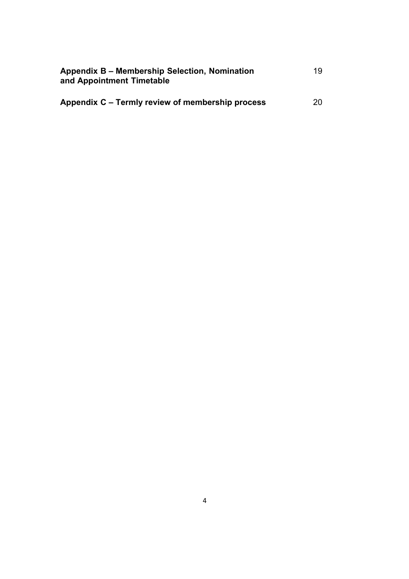| Appendix B - Membership Selection, Nomination<br>and Appointment Timetable |     |  |  |  |
|----------------------------------------------------------------------------|-----|--|--|--|
| Appendix C – Termly review of membership process                           | 20. |  |  |  |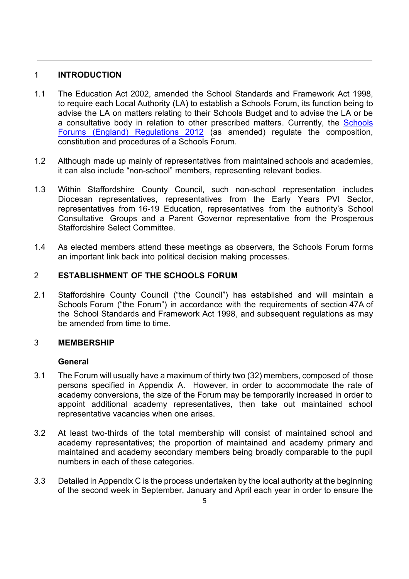## 1 **INTRODUCTION**

- 1.1 The Education Act 2002, amended the School Standards and Framework Act 1998, to require each Local Authority (LA) to establish a Schools Forum, its function being to advise the LA on matters relating to their Schools Budget and to advise the LA or be a consultative body in relation to other prescribed matters. Currently, the [Schools](https://www.legislation.gov.uk/uksi/2012/2261/regulation/4)  [Forums \(England\) Regulations 2012](https://www.legislation.gov.uk/uksi/2012/2261/regulation/4) (as amended) regulate the composition, constitution and procedures of a Schools Forum.
- 1.2 Although made up mainly of representatives from maintained schools and academies, it can also include "non-school" members, representing relevant bodies.
- 1.3 Within Staffordshire County Council, such non-school representation includes Diocesan representatives, representatives from the Early Years PVI Sector, representatives from 16-19 Education, representatives from the authority's School Consultative Groups and a Parent Governor representative from the Prosperous Staffordshire Select Committee.
- 1.4 As elected members attend these meetings as observers, the Schools Forum forms an important link back into political decision making processes.

# 2 **ESTABLISHMENT OF THE SCHOOLS FORUM**

2.1 Staffordshire County Council ("the Council") has established and will maintain a Schools Forum ("the Forum") in accordance with the requirements of section 47A of the School Standards and Framework Act 1998, and subsequent regulations as may be amended from time to time.

# 3 **MEMBERSHIP**

## **General**

- 3.1 The Forum will usually have a maximum of thirty two (32) members, composed of those persons specified in Appendix A. However, in order to accommodate the rate of academy conversions, the size of the Forum may be temporarily increased in order to appoint additional academy representatives, then take out maintained school representative vacancies when one arises.
- 3.2 At least two-thirds of the total membership will consist of maintained school and academy representatives; the proportion of maintained and academy primary and maintained and academy secondary members being broadly comparable to the pupil numbers in each of these categories.
- 3.3 Detailed in Appendix C is the process undertaken by the local authority at the beginning of the second week in September, January and April each year in order to ensure the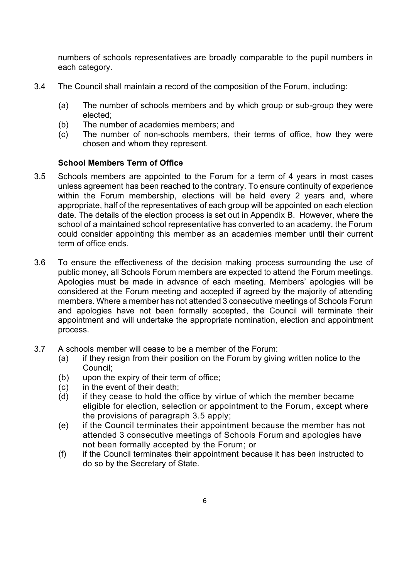numbers of schools representatives are broadly comparable to the pupil numbers in each category.

- 3.4 The Council shall maintain a record of the composition of the Forum, including:
	- (a) The number of schools members and by which group or sub-group they were elected;
	- (b) The number of academies members; and
	- (c) The number of non-schools members, their terms of office, how they were chosen and whom they represent.

# **School Members Term of Office**

- 3.5 Schools members are appointed to the Forum for a term of 4 years in most cases unless agreement has been reached to the contrary. To ensure continuity of experience within the Forum membership, elections will be held every 2 years and, where appropriate, half of the representatives of each group will be appointed on each election date. The details of the election process is set out in Appendix B. However, where the school of a maintained school representative has converted to an academy, the Forum could consider appointing this member as an academies member until their current term of office ends.
- 3.6 To ensure the effectiveness of the decision making process surrounding the use of public money, all Schools Forum members are expected to attend the Forum meetings. Apologies must be made in advance of each meeting. Members' apologies will be considered at the Forum meeting and accepted if agreed by the majority of attending members. Where a member has not attended 3 consecutive meetings of Schools Forum and apologies have not been formally accepted, the Council will terminate their appointment and will undertake the appropriate nomination, election and appointment process.
- 3.7 A schools member will cease to be a member of the Forum:
	- (a) if they resign from their position on the Forum by giving written notice to the Council;
	- (b) upon the expiry of their term of office;
	- (c) in the event of their death;
	- (d) if they cease to hold the office by virtue of which the member became eligible for election, selection or appointment to the Forum, except where the provisions of paragraph 3.5 apply;
	- (e) if the Council terminates their appointment because the member has not attended 3 consecutive meetings of Schools Forum and apologies have not been formally accepted by the Forum; or
	- (f) if the Council terminates their appointment because it has been instructed to do so by the Secretary of State.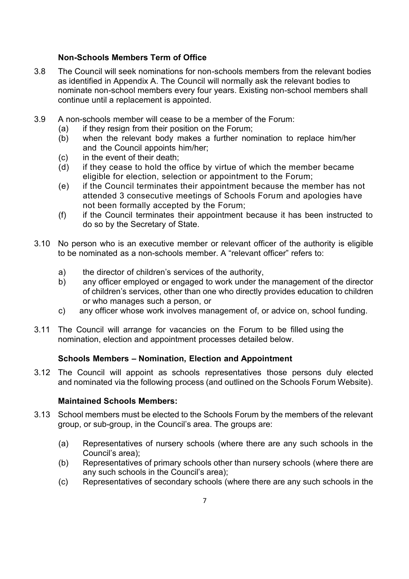# **Non-Schools Members Term of Office**

- 3.8 The Council will seek nominations for non-schools members from the relevant bodies as identified in Appendix A. The Council will normally ask the relevant bodies to nominate non-school members every four years. Existing non-school members shall continue until a replacement is appointed.
- 3.9 A non-schools member will cease to be a member of the Forum:
	- (a) if they resign from their position on the Forum;
	- (b) when the relevant body makes a further nomination to replace him/her and the Council appoints him/her;
	- (c) in the event of their death;
	- (d) if they cease to hold the office by virtue of which the member became eligible for election, selection or appointment to the Forum;
	- (e) if the Council terminates their appointment because the member has not attended 3 consecutive meetings of Schools Forum and apologies have not been formally accepted by the Forum;
	- (f) if the Council terminates their appointment because it has been instructed to do so by the Secretary of State.
- 3.10 No person who is an executive member or relevant officer of the authority is eligible to be nominated as a non-schools member. A "relevant officer" refers to:
	- a) the director of children's services of the authority,
	- b) any officer employed or engaged to work under the management of the director of children's services, other than one who directly provides education to children or who manages such a person, or
	- c) any officer whose work involves management of, or advice on, school funding.
- 3.11 The Council will arrange for vacancies on the Forum to be filled using the nomination, election and appointment processes detailed below.

# **Schools Members – Nomination, Election and Appointment**

3.12 The Council will appoint as schools representatives those persons duly elected and nominated via the following process (and outlined on the Schools Forum Website).

## **Maintained Schools Members:**

- 3.13 School members must be elected to the Schools Forum by the members of the relevant group, or sub-group, in the Council's area. The groups are:
	- (a) Representatives of nursery schools (where there are any such schools in the Council's area);
	- (b) Representatives of primary schools other than nursery schools (where there are any such schools in the Council's area);
	- (c) Representatives of secondary schools (where there are any such schools in the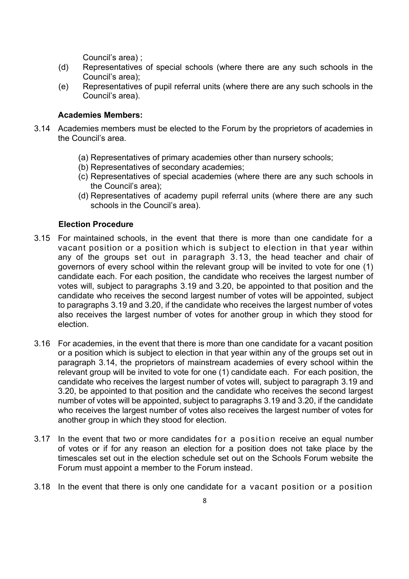Council's area) ;

- (d) Representatives of special schools (where there are any such schools in the Council's area);
- (e) Representatives of pupil referral units (where there are any such schools in the Council's area).

# **Academies Members:**

- 3.14 Academies members must be elected to the Forum by the proprietors of academies in the Council's area.
	- (a) Representatives of primary academies other than nursery schools;
	- (b) Representatives of secondary academies;
	- (c) Representatives of special academies (where there are any such schools in the Council's area);
	- (d) Representatives of academy pupil referral units (where there are any such schools in the Council's area).

## **Election Procedure**

- 3.15 For maintained schools, in the event that there is more than one candidate for a vacant position or a position which is subject to election in that year within any of the groups set out in paragraph 3.13, the head teacher and chair of governors of every school within the relevant group will be invited to vote for one (1) candidate each. For each position, the candidate who receives the largest number of votes will, subject to paragraphs 3.19 and 3.20, be appointed to that position and the candidate who receives the second largest number of votes will be appointed, subject to paragraphs 3.19 and 3.20, if the candidate who receives the largest number of votes also receives the largest number of votes for another group in which they stood for election.
- 3.16 For academies, in the event that there is more than one candidate for a vacant position or a position which is subject to election in that year within any of the groups set out in paragraph 3.14, the proprietors of mainstream academies of every school within the relevant group will be invited to vote for one (1) candidate each. For each position, the candidate who receives the largest number of votes will, subject to paragraph 3.19 and 3.20, be appointed to that position and the candidate who receives the second largest number of votes will be appointed, subject to paragraphs 3.19 and 3.20, if the candidate who receives the largest number of votes also receives the largest number of votes for another group in which they stood for election.
- 3.17 In the event that two or more candidates for a position receive an equal number of votes or if for any reason an election for a position does not take place by the timescales set out in the election schedule set out on the Schools Forum website the Forum must appoint a member to the Forum instead.
- 3.18 In the event that there is only one candidate for a vacant position or a position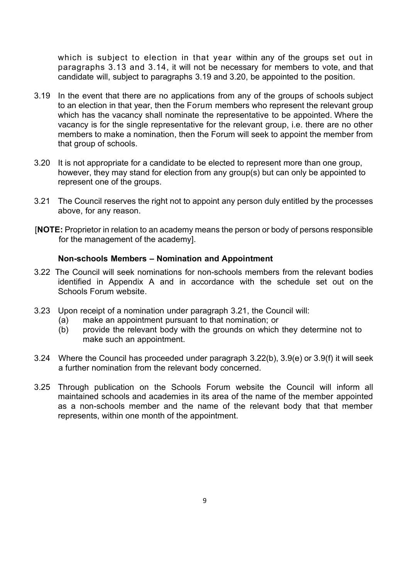which is subject to election in that year within any of the groups set out in paragraphs 3.13 and 3.14, it will not be necessary for members to vote, and that candidate will, subject to paragraphs 3.19 and 3.20, be appointed to the position.

- 3.19 In the event that there are no applications from any of the groups of schools subject to an election in that year, then the Forum members who represent the relevant group which has the vacancy shall nominate the representative to be appointed. Where the vacancy is for the single representative for the relevant group, i.e. there are no other members to make a nomination, then the Forum will seek to appoint the member from that group of schools.
- 3.20 It is not appropriate for a candidate to be elected to represent more than one group, however, they may stand for election from any group(s) but can only be appointed to represent one of the groups.
- 3.21 The Council reserves the right not to appoint any person duly entitled by the processes above, for any reason.
- [**NOTE:** Proprietor in relation to an academy means the person or body of persons responsible for the management of the academy].

#### **Non-schools Members – Nomination and Appointment**

- 3.22 The Council will seek nominations for non-schools members from the relevant bodies identified in Appendix A and in accordance with the schedule set out on the Schools Forum website.
- 3.23 Upon receipt of a nomination under paragraph 3.21, the Council will:
	- (a) make an appointment pursuant to that nomination; or
	- (b) provide the relevant body with the grounds on which they determine not to make such an appointment.
- 3.24 Where the Council has proceeded under paragraph 3.22(b), 3.9(e) or 3.9(f) it will seek a further nomination from the relevant body concerned.
- 3.25 Through publication on the Schools Forum website the Council will inform all maintained schools and academies in its area of the name of the member appointed as a non-schools member and the name of the relevant body that that member represents, within one month of the appointment.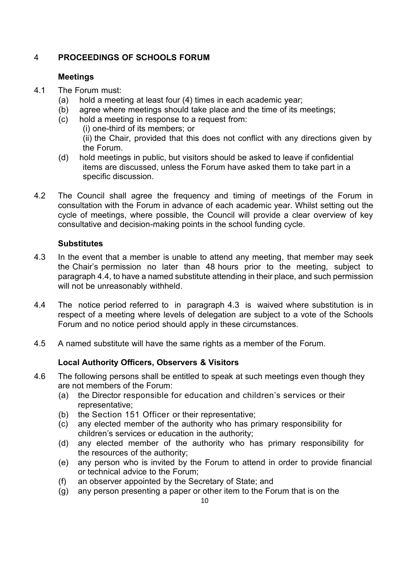# 4 **PROCEEDINGS OF SCHOOLS FORUM**

# **Meetings**

- 4.1 The Forum must:
	- (a) hold a meeting at least four (4) times in each academic year;
	- (b) agree where meetings should take place and the time of its meetings;
	- (c) hold a meeting in response to a request from:
		- (i) one-third of its members; or (ii) the Chair, provided that this does not conflict with any directions given by the Forum.
	- (d) hold meetings in public, but visitors should be asked to leave if confidential items are discussed, unless the Forum have asked them to take part in a specific discussion.
- 4.2 The Council shall agree the frequency and timing of meetings of the Forum in consultation with the Forum in advance of each academic year. Whilst setting out the cycle of meetings, where possible, the Council will provide a clear overview of key consultative and decision-making points in the school funding cycle.

# **Substitutes**

- 4.3 In the event that a member is unable to attend any meeting, that member may seek the Chair's permission no later than 48 hours prior to the meeting, subject to paragraph 4.4, to have a named substitute attending in their place, and such permission will not be unreasonably withheld.
- 4.4 The notice period referred to in paragraph 4.3 is waived where substitution is in respect of a meeting where levels of delegation are subject to a vote of the Schools Forum and no notice period should apply in these circumstances.
- 4.5 A named substitute will have the same rights as a member of the Forum.

# **Local Authority Officers, Observers & Visitors**

- 4.6 The following persons shall be entitled to speak at such meetings even though they are not members of the Forum:
	- (a) the Director responsible for education and children's services or their representative;
	- (b) the Section 151 Officer or their representative;
	- (c) any elected member of the authority who has primary responsibility for children's services or education in the authority;
	- (d) any elected member of the authority who has primary responsibility for the resources of the authority;
	- (e) any person who is invited by the Forum to attend in order to provide financial or technical advice to the Forum;
	- (f) an observer appointed by the Secretary of State; and
	- (g) any person presenting a paper or other item to the Forum that is on the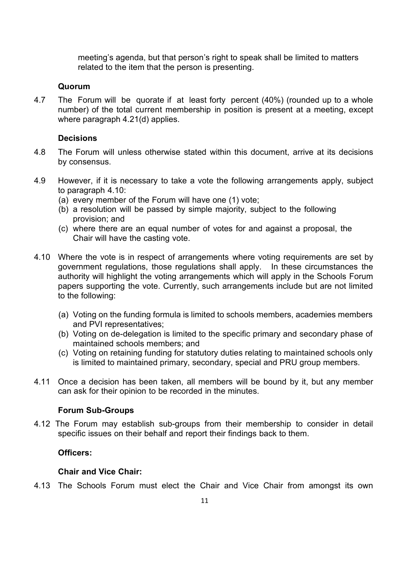meeting's agenda, but that person's right to speak shall be limited to matters related to the item that the person is presenting.

## **Quorum**

4.7 The Forum will be quorate if at least forty percent (40%) (rounded up to a whole number) of the total current membership in position is present at a meeting, except where paragraph 4.21(d) applies.

## **Decisions**

- 4.8 The Forum will unless otherwise stated within this document, arrive at its decisions by consensus.
- 4.9 However, if it is necessary to take a vote the following arrangements apply, subject to paragraph 4.10:
	- (a) every member of the Forum will have one (1) vote;
	- (b) a resolution will be passed by simple majority, subject to the following provision; and
	- (c) where there are an equal number of votes for and against a proposal, the Chair will have the casting vote.
- 4.10 Where the vote is in respect of arrangements where voting requirements are set by government regulations, those regulations shall apply. In these circumstances the authority will highlight the voting arrangements which will apply in the Schools Forum papers supporting the vote. Currently, such arrangements include but are not limited to the following:
	- (a) Voting on the funding formula is limited to schools members, academies members and PVI representatives;
	- (b) Voting on de-delegation is limited to the specific primary and secondary phase of maintained schools members; and
	- (c) Voting on retaining funding for statutory duties relating to maintained schools only is limited to maintained primary, secondary, special and PRU group members.
- 4.11 Once a decision has been taken, all members will be bound by it, but any member can ask for their opinion to be recorded in the minutes.

## **Forum Sub-Groups**

4.12 The Forum may establish sub-groups from their membership to consider in detail specific issues on their behalf and report their findings back to them.

#### **Officers:**

#### **Chair and Vice Chair:**

4.13 The Schools Forum must elect the Chair and Vice Chair from amongst its own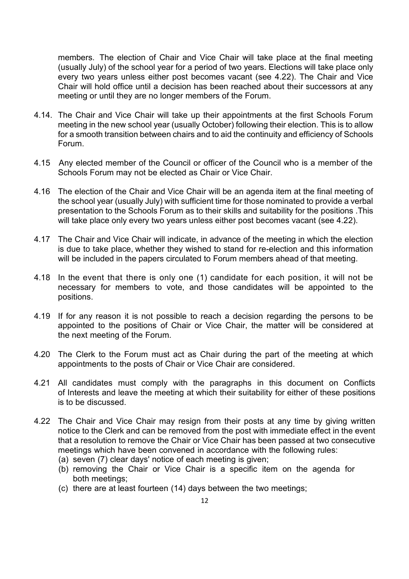members. The election of Chair and Vice Chair will take place at the final meeting (usually July) of the school year for a period of two years. Elections will take place only every two years unless either post becomes vacant (see 4.22). The Chair and Vice Chair will hold office until a decision has been reached about their successors at any meeting or until they are no longer members of the Forum.

- 4.14. The Chair and Vice Chair will take up their appointments at the first Schools Forum meeting in the new school year (usually October) following their election. This is to allow for a smooth transition between chairs and to aid the continuity and efficiency of Schools Forum.
- 4.15 Any elected member of the Council or officer of the Council who is a member of the Schools Forum may not be elected as Chair or Vice Chair.
- 4.16 The election of the Chair and Vice Chair will be an agenda item at the final meeting of the school year (usually July) with sufficient time for those nominated to provide a verbal presentation to the Schools Forum as to their skills and suitability for the positions .This will take place only every two years unless either post becomes vacant (see 4.22).
- 4.17 The Chair and Vice Chair will indicate, in advance of the meeting in which the election is due to take place, whether they wished to stand for re-election and this information will be included in the papers circulated to Forum members ahead of that meeting.
- 4.18 In the event that there is only one (1) candidate for each position, it will not be necessary for members to vote, and those candidates will be appointed to the positions.
- 4.19 If for any reason it is not possible to reach a decision regarding the persons to be appointed to the positions of Chair or Vice Chair, the matter will be considered at the next meeting of the Forum.
- 4.20 The Clerk to the Forum must act as Chair during the part of the meeting at which appointments to the posts of Chair or Vice Chair are considered.
- 4.21 All candidates must comply with the paragraphs in this document on Conflicts of Interests and leave the meeting at which their suitability for either of these positions is to be discussed.
- 4.22 The Chair and Vice Chair may resign from their posts at any time by giving written notice to the Clerk and can be removed from the post with immediate effect in the event that a resolution to remove the Chair or Vice Chair has been passed at two consecutive meetings which have been convened in accordance with the following rules:
	- (a) seven (7) clear days' notice of each meeting is given;
	- (b) removing the Chair or Vice Chair is a specific item on the agenda for both meetings;
	- (c) there are at least fourteen (14) days between the two meetings;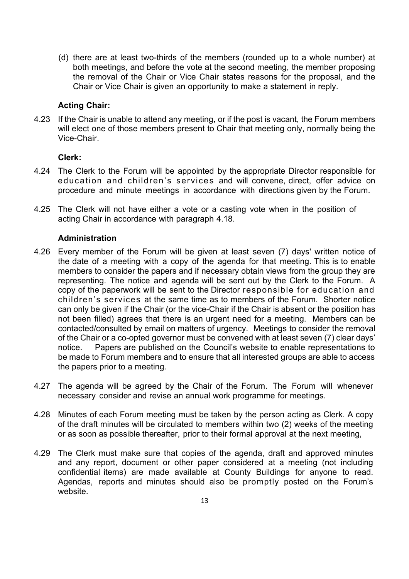(d) there are at least two-thirds of the members (rounded up to a whole number) at both meetings, and before the vote at the second meeting, the member proposing the removal of the Chair or Vice Chair states reasons for the proposal, and the Chair or Vice Chair is given an opportunity to make a statement in reply.

## **Acting Chair:**

4.23 If the Chair is unable to attend any meeting, or if the post is vacant, the Forum members will elect one of those members present to Chair that meeting only, normally being the Vice-Chair.

#### **Clerk:**

- 4.24 The Clerk to the Forum will be appointed by the appropriate Director responsible for education and children's services and will convene, direct, offer advice on procedure and minute meetings in accordance with directions given by the Forum.
- 4.25 The Clerk will not have either a vote or a casting vote when in the position of acting Chair in accordance with paragraph 4.18.

#### **Administration**

- 4.26 Every member of the Forum will be given at least seven (7) days' written notice of the date of a meeting with a copy of the agenda for that meeting. This is to enable members to consider the papers and if necessary obtain views from the group they are representing. The notice and agenda will be sent out by the Clerk to the Forum. A copy of the paperwork will be sent to the Director responsible for education and children's services at the same time as to members of the Forum. Shorter notice can only be given if the Chair (or the vice-Chair if the Chair is absent or the position has not been filled) agrees that there is an urgent need for a meeting. Members can be contacted/consulted by email on matters of urgency. Meetings to consider the removal of the Chair or a co-opted governor must be convened with at least seven (7) clear days' notice. Papers are published on the Council's website to enable representations to be made to Forum members and to ensure that all interested groups are able to access the papers prior to a meeting.
- 4.27 The agenda will be agreed by the Chair of the Forum. The Forum will whenever necessary consider and revise an annual work programme for meetings.
- 4.28 Minutes of each Forum meeting must be taken by the person acting as Clerk. A copy of the draft minutes will be circulated to members within two (2) weeks of the meeting or as soon as possible thereafter, prior to their formal approval at the next meeting,
- 4.29 The Clerk must make sure that copies of the agenda, draft and approved minutes and any report, document or other paper considered at a meeting (not including confidential items) are made available at County Buildings for anyone to read. Agendas, reports and minutes should also be promptly posted on the Forum's website.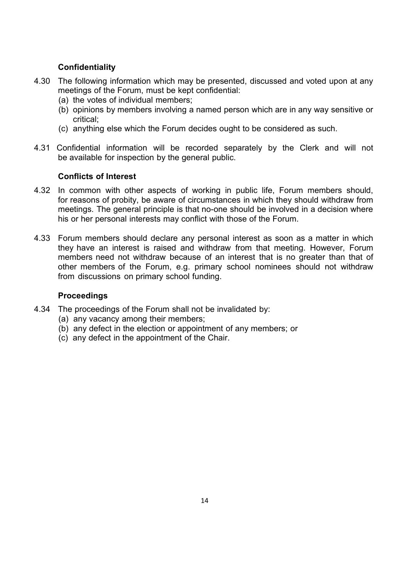# **Confidentiality**

- 4.30 The following information which may be presented, discussed and voted upon at any meetings of the Forum, must be kept confidential:
	- (a) the votes of individual members;
	- (b) opinions by members involving a named person which are in any way sensitive or critical;
	- (c) anything else which the Forum decides ought to be considered as such.
- 4.31 Confidential information will be recorded separately by the Clerk and will not be available for inspection by the general public.

### **Conflicts of Interest**

- 4.32 In common with other aspects of working in public life, Forum members should, for reasons of probity, be aware of circumstances in which they should withdraw from meetings. The general principle is that no-one should be involved in a decision where his or her personal interests may conflict with those of the Forum.
- 4.33 Forum members should declare any personal interest as soon as a matter in which they have an interest is raised and withdraw from that meeting. However, Forum members need not withdraw because of an interest that is no greater than that of other members of the Forum, e.g. primary school nominees should not withdraw from discussions on primary school funding.

#### **Proceedings**

- 4.34 The proceedings of the Forum shall not be invalidated by:
	- (a) any vacancy among their members;
	- (b) any defect in the election or appointment of any members; or
	- (c) any defect in the appointment of the Chair.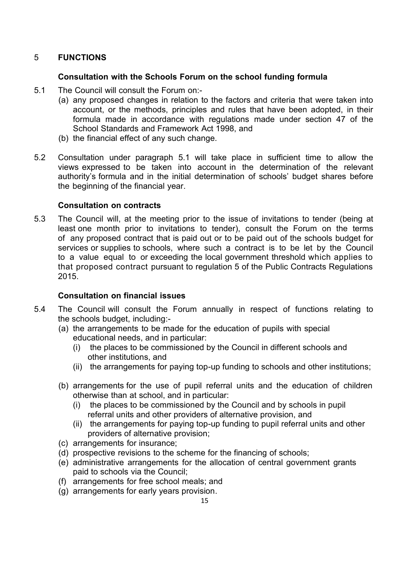# 5 **FUNCTIONS**

# **Consultation with the Schools Forum on the school funding formula**

- 5.1 The Council will consult the Forum on:-
	- (a) any proposed changes in relation to the factors and criteria that were taken into account, or the methods, principles and rules that have been adopted, in their formula made in accordance with regulations made under section 47 of the School Standards and Framework Act 1998, and
	- (b) the financial effect of any such change.
- 5.2 Consultation under paragraph 5.1 will take place in sufficient time to allow the views expressed to be taken into account in the determination of the relevant authority's formula and in the initial determination of schools' budget shares before the beginning of the financial year.

## **Consultation on contracts**

5.3 The Council will, at the meeting prior to the issue of invitations to tender (being at least one month prior to invitations to tender), consult the Forum on the terms of any proposed contract that is paid out or to be paid out of the schools budget for services or supplies to schools, where such a contract is to be let by the Council to a value equal to or exceeding the local government threshold which applies to that proposed contract pursuant to regulation 5 of the Public Contracts Regulations 2015.

## **Consultation on financial issues**

- 5.4 The Council will consult the Forum annually in respect of functions relating to the schools budget, including:-
	- (a) the arrangements to be made for the education of pupils with special educational needs, and in particular:
		- (i) the places to be commissioned by the Council in different schools and other institutions, and
		- (ii) the arrangements for paying top-up funding to schools and other institutions;
	- (b) arrangements for the use of pupil referral units and the education of children otherwise than at school, and in particular:
		- (i) the places to be commissioned by the Council and by schools in pupil referral units and other providers of alternative provision, and
		- (ii) the arrangements for paying top-up funding to pupil referral units and other providers of alternative provision;
	- (c) arrangements for insurance;
	- (d) prospective revisions to the scheme for the financing of schools;
	- (e) administrative arrangements for the allocation of central government grants paid to schools via the Council;
	- (f) arrangements for free school meals; and
	- (g) arrangements for early years provision.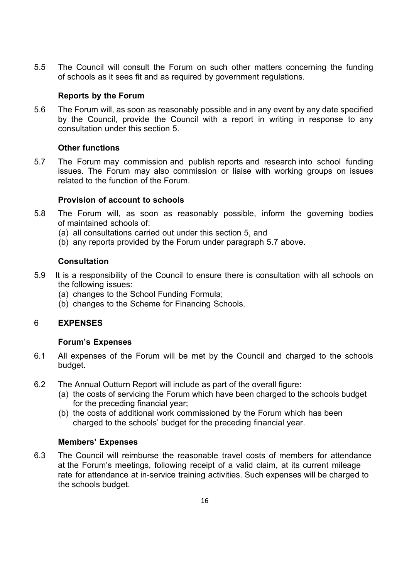5.5 The Council will consult the Forum on such other matters concerning the funding of schools as it sees fit and as required by government regulations.

## **Reports by the Forum**

5.6 The Forum will, as soon as reasonably possible and in any event by any date specified by the Council, provide the Council with a report in writing in response to any consultation under this section 5.

## **Other functions**

5.7 The Forum may commission and publish reports and research into school funding issues. The Forum may also commission or liaise with working groups on issues related to the function of the Forum.

### **Provision of account to schools**

- 5.8 The Forum will, as soon as reasonably possible, inform the governing bodies of maintained schools of:
	- (a) all consultations carried out under this section 5, and
	- (b) any reports provided by the Forum under paragraph 5.7 above.

### **Consultation**

- 5.9 It is a responsibility of the Council to ensure there is consultation with all schools on the following issues:
	- (a) changes to the School Funding Formula;
	- (b) changes to the Scheme for Financing Schools.

## 6 **EXPENSES**

## **Forum's Expenses**

- 6.1 All expenses of the Forum will be met by the Council and charged to the schools budget.
- 6.2 The Annual Outturn Report will include as part of the overall figure:
	- (a) the costs of servicing the Forum which have been charged to the schools budget for the preceding financial year;
	- (b) the costs of additional work commissioned by the Forum which has been charged to the schools' budget for the preceding financial year.

#### **Members' Expenses**

6.3 The Council will reimburse the reasonable travel costs of members for attendance at the Forum's meetings, following receipt of a valid claim, at its current mileage rate for attendance at in-service training activities. Such expenses will be charged to the schools budget.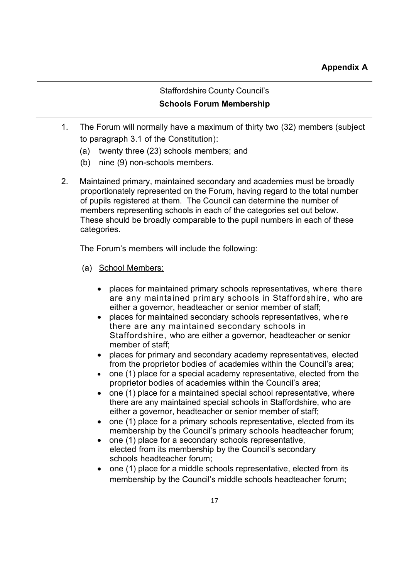# Staffordshire County Council's **Schools Forum Membership**

- 1. The Forum will normally have a maximum of thirty two (32) members (subject to paragraph 3.1 of the Constitution):
	- (a) twenty three (23) schools members; and
	- (b) nine (9) non-schools members.
- 2. Maintained primary, maintained secondary and academies must be broadly proportionately represented on the Forum, having regard to the total number of pupils registered at them. The Council can determine the number of members representing schools in each of the categories set out below. These should be broadly comparable to the pupil numbers in each of these categories.

The Forum's members will include the following:

- (a) School Members:
	- places for maintained primary schools representatives, where there are any maintained primary schools in Staffordshire, who are either a governor, headteacher or senior member of staff;
	- places for maintained secondary schools representatives, where there are any maintained secondary schools in Staffordshire, who are either a governor, headteacher or senior member of staff;
	- places for primary and secondary academy representatives, elected from the proprietor bodies of academies within the Council's area;
	- one (1) place for a special academy representative, elected from the proprietor bodies of academies within the Council's area;
	- one (1) place for a maintained special school representative, where there are any maintained special schools in Staffordshire, who are either a governor, headteacher or senior member of staff;
	- one (1) place for a primary schools representative, elected from its membership by the Council's primary schools headteacher forum;
	- one (1) place for a secondary schools representative, elected from its membership by the Council's secondary schools headteacher forum;
	- one (1) place for a middle schools representative, elected from its membership by the Council's middle schools headteacher forum;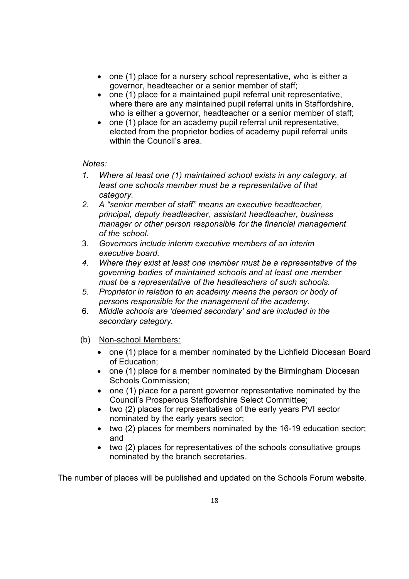- one (1) place for a nursery school representative, who is either a governor, headteacher or a senior member of staff;
- one (1) place for a maintained pupil referral unit representative, where there are any maintained pupil referral units in Staffordshire, who is either a governor, headteacher or a senior member of staff;
- one (1) place for an academy pupil referral unit representative, elected from the proprietor bodies of academy pupil referral units within the Council's area.

## *Notes:*

- *1. Where at least one (1) maintained school exists in any category, at least one schools member must be a representative of that category.*
- *2. A "senior member of staff" means an executive headteacher, principal, deputy headteacher, assistant headteacher, business manager or other person responsible for the financial management of the school.*
- 3. *Governors include interim executive members of an interim executive board.*
- *4. Where they exist at least one member must be a representative of the governing bodies of maintained schools and at least one member must be a representative of the headteachers of such schools.*
- *5. Proprietor in relation to an academy means the person or body of persons responsible for the management of the academy.*
- 6. *Middle schools are 'deemed secondary' and are included in the secondary category.*
- (b) Non-school Members:
	- one (1) place for a member nominated by the Lichfield Diocesan Board of Education;
	- one (1) place for a member nominated by the Birmingham Diocesan Schools Commission;
	- one (1) place for a parent governor representative nominated by the Council's Prosperous Staffordshire Select Committee;
	- two (2) places for representatives of the early years PVI sector nominated by the early years sector;
	- two (2) places for members nominated by the 16-19 education sector; and
	- two (2) places for representatives of the schools consultative groups nominated by the branch secretaries.

The number of places will be published and updated on the Schools Forum website.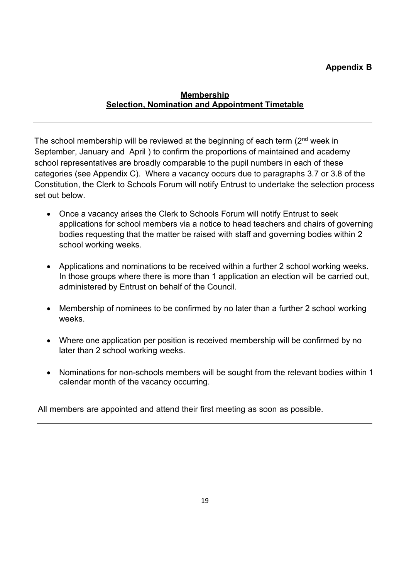# **Membership Selection, Nomination and Appointment Timetable**

The school membership will be reviewed at the beginning of each term (2<sup>nd</sup> week in September, January and April ) to confirm the proportions of maintained and academy school representatives are broadly comparable to the pupil numbers in each of these categories (see Appendix C). Where a vacancy occurs due to paragraphs 3.7 or 3.8 of the Constitution, the Clerk to Schools Forum will notify Entrust to undertake the selection process set out below.

- Once a vacancy arises the Clerk to Schools Forum will notify Entrust to seek applications for school members via a notice to head teachers and chairs of governing bodies requesting that the matter be raised with staff and governing bodies within 2 school working weeks.
- Applications and nominations to be received within a further 2 school working weeks. In those groups where there is more than 1 application an election will be carried out, administered by Entrust on behalf of the Council.
- Membership of nominees to be confirmed by no later than a further 2 school working weeks.
- Where one application per position is received membership will be confirmed by no later than 2 school working weeks.
- Nominations for non-schools members will be sought from the relevant bodies within 1 calendar month of the vacancy occurring.

All members are appointed and attend their first meeting as soon as possible.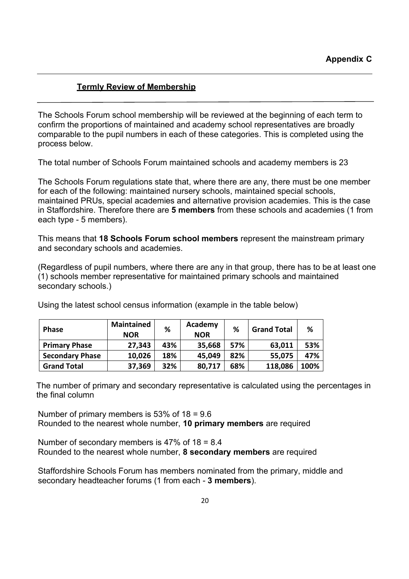# **Termly Review of Membership**

The Schools Forum school membership will be reviewed at the beginning of each term to confirm the proportions of maintained and academy school representatives are broadly comparable to the pupil numbers in each of these categories. This is completed using the process below.

The total number of Schools Forum maintained schools and academy members is 23

The Schools Forum regulations state that, where there are any, there must be one member for each of the following: maintained nursery schools, maintained special schools, maintained PRUs, special academies and alternative provision academies. This is the case in Staffordshire. Therefore there are **5 members** from these schools and academies (1 from each type - 5 members).

This means that **18 Schools Forum school members** represent the mainstream primary and secondary schools and academies.

(Regardless of pupil numbers, where there are any in that group, there has to be at least one (1) schools member representative for maintained primary schools and maintained secondary schools.)

Using the latest school census information (example in the table below)

| <b>Phase</b>           | <b>Maintained</b><br><b>NOR</b> | %   | Academy<br><b>NOR</b> | %   | <b>Grand Total</b> | %    |
|------------------------|---------------------------------|-----|-----------------------|-----|--------------------|------|
| <b>Primary Phase</b>   | 27,343                          | 43% | 35,668                | 57% | 63,011             | 53%  |
| <b>Secondary Phase</b> | 10,026                          | 18% | 45,049                | 82% | 55,075             | 47%  |
| <b>Grand Total</b>     | 37,369                          | 32% | 80,717                | 68% | 118,086            | 100% |

The number of primary and secondary representative is calculated using the percentages in the final column

Number of primary members is 53% of 18 = 9.6 Rounded to the nearest whole number, **10 primary members** are required

Number of secondary members is 47% of 18 = 8.4 Rounded to the nearest whole number, **8 secondary members** are required

Staffordshire Schools Forum has members nominated from the primary, middle and secondary headteacher forums (1 from each - **3 members**).